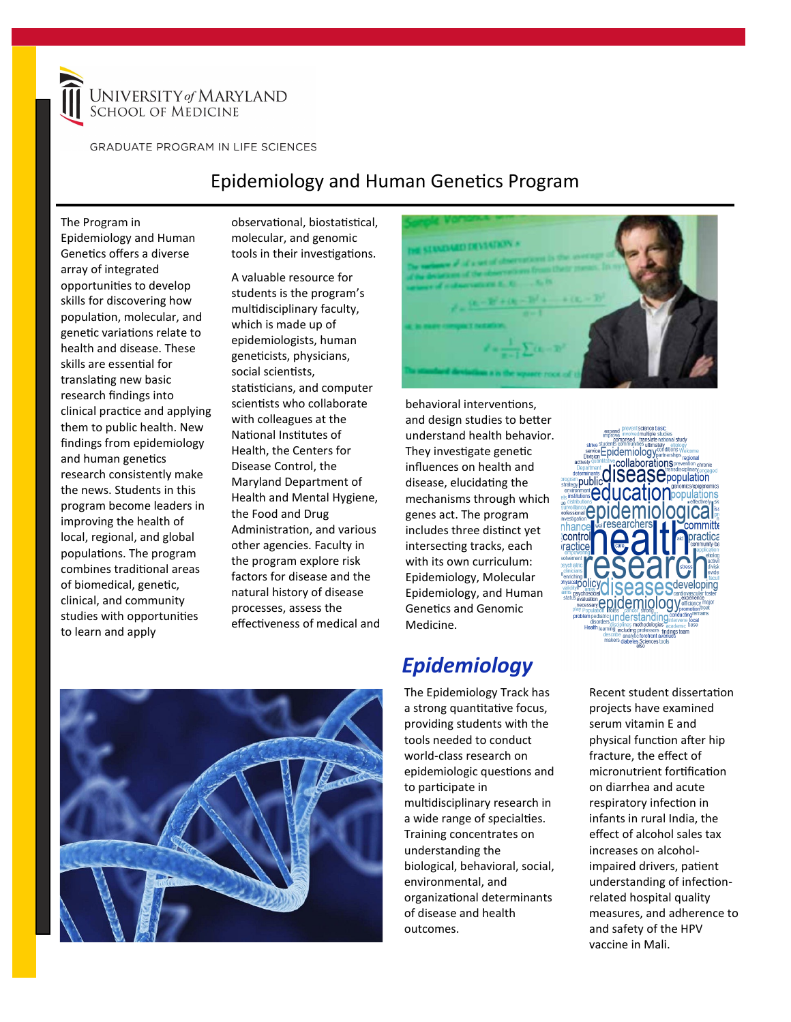

**GRADUATE PROGRAM IN LIFE SCIENCES** 

### Epidemiology and Human Genetics Program

The Program in Epidemiology and Human Genetics offers a diverse array of integrated opportunities to develop skills for discovering how population, molecular, and genetic variations relate to health and disease. These skills are essential for translating new basic research findings into clinical practice and applying them to public health. New findings from epidemiology and human genetics research consistently make the news. Students in this program become leaders in improving the health of local, regional, and global populations. The program combines traditional areas of biomedical, genetic, clinical, and community studies with opportunities to learn and apply

observational, biostatistical, molecular, and genomic tools in their investigations.

A valuable resource for students is the program's multidisciplinary faculty, which is made up of epidemiologists, human geneticists, physicians, social scientists, statisticians, and computer scientists who collaborate with colleagues at the National Institutes of Health, the Centers for Disease Control, the Maryland Department of Health and Mental Hygiene, the Food and Drug Administration, and various other agencies. Faculty in the program explore risk factors for disease and the natural history of disease processes, assess the effectiveness of medical and





behavioral interventions, and design studies to better understand health behavior. They investigate genetic influences on health and disease, elucidating the mechanisms through which genes act. The program includes three distinct yet intersecting tracks, each with its own curriculum: Epidemiology, Molecular Epidemiology, and Human Genetics and Genomic Medicine.

## *Epidemiology*

The Epidemiology Track has a strong quantitative focus, providing students with the tools needed to conduct world-class research on epidemiologic questions and to participate in multidisciplinary research in a wide range of specialties. Training concentrates on understanding the biological, behavioral, social, environmental, and organizational determinants of disease and health outcomes.

collaborations **CISCAS C**population public catio nhani **Contro** epidemiolod

> Recent student dissertation projects have examined serum vitamin E and physical function after hip fracture, the effect of micronutrient fortification on diarrhea and acute respiratory infection in infants in rural India, the effect of alcohol sales tax increases on alcoholimpaired drivers, patient understanding of infectionrelated hospital quality measures, and adherence to and safety of the HPV vaccine in Mali.